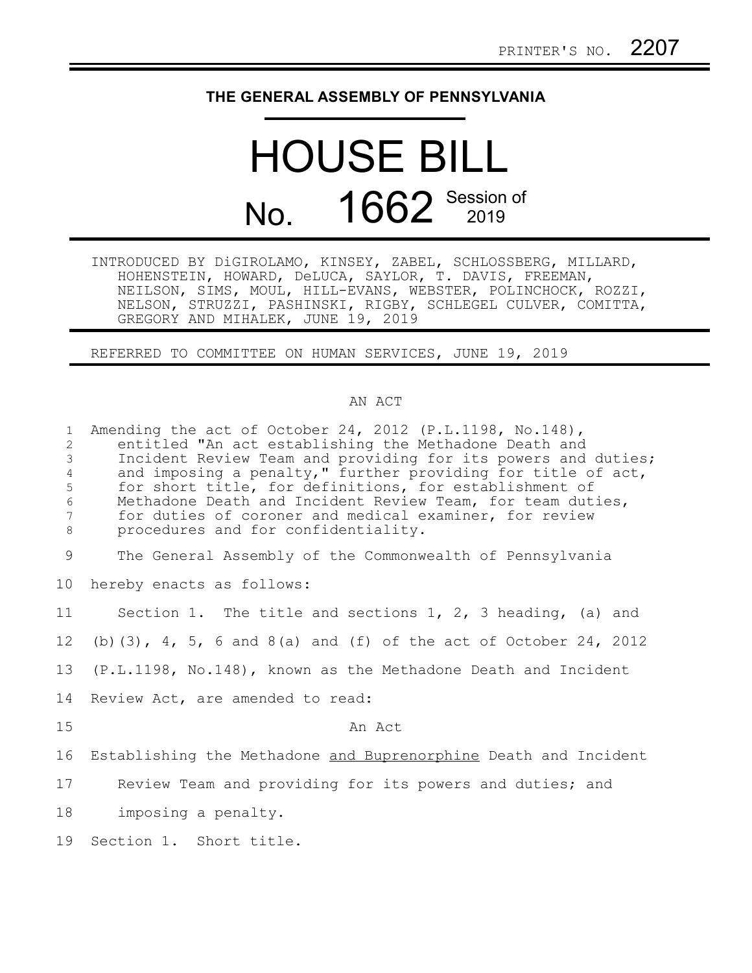## **THE GENERAL ASSEMBLY OF PENNSYLVANIA**

## HOUSE BILL No. 1662 Session of

INTRODUCED BY DiGIROLAMO, KINSEY, ZABEL, SCHLOSSBERG, MILLARD, HOHENSTEIN, HOWARD, DeLUCA, SAYLOR, T. DAVIS, FREEMAN, NEILSON, SIMS, MOUL, HILL-EVANS, WEBSTER, POLINCHOCK, ROZZI, NELSON, STRUZZI, PASHINSKI, RIGBY, SCHLEGEL CULVER, COMITTA, GREGORY AND MIHALEK, JUNE 19, 2019

REFERRED TO COMMITTEE ON HUMAN SERVICES, JUNE 19, 2019

## AN ACT

| $\mathbf{1}$<br>$\overline{2}$<br>$\mathfrak{Z}$<br>$\overline{4}$<br>5<br>6<br>7<br>8 | Amending the act of October 24, 2012 (P.L.1198, No.148),<br>entitled "An act establishing the Methadone Death and<br>Incident Review Team and providing for its powers and duties;<br>and imposing a penalty," further providing for title of act,<br>for short title, for definitions, for establishment of<br>Methadone Death and Incident Review Team, for team duties,<br>for duties of coroner and medical examiner, for review<br>procedures and for confidentiality. |
|----------------------------------------------------------------------------------------|-----------------------------------------------------------------------------------------------------------------------------------------------------------------------------------------------------------------------------------------------------------------------------------------------------------------------------------------------------------------------------------------------------------------------------------------------------------------------------|
| 9                                                                                      | The General Assembly of the Commonwealth of Pennsylvania                                                                                                                                                                                                                                                                                                                                                                                                                    |
| 10 <sub>o</sub>                                                                        | hereby enacts as follows:                                                                                                                                                                                                                                                                                                                                                                                                                                                   |
| 11                                                                                     | Section 1. The title and sections 1, 2, 3 heading, (a) and                                                                                                                                                                                                                                                                                                                                                                                                                  |
| 12 <sup>°</sup>                                                                        | (b) $(3)$ , 4, 5, 6 and 8(a) and (f) of the act of October 24, 2012                                                                                                                                                                                                                                                                                                                                                                                                         |
| 13                                                                                     | (P.L.1198, No.148), known as the Methadone Death and Incident                                                                                                                                                                                                                                                                                                                                                                                                               |
| 14                                                                                     | Review Act, are amended to read:                                                                                                                                                                                                                                                                                                                                                                                                                                            |
| 15                                                                                     | An Act                                                                                                                                                                                                                                                                                                                                                                                                                                                                      |
| 16                                                                                     | Establishing the Methadone and Buprenorphine Death and Incident                                                                                                                                                                                                                                                                                                                                                                                                             |
| 17                                                                                     | Review Team and providing for its powers and duties; and                                                                                                                                                                                                                                                                                                                                                                                                                    |
| 18                                                                                     | imposing a penalty.                                                                                                                                                                                                                                                                                                                                                                                                                                                         |
| 19                                                                                     | Section 1. Short title.                                                                                                                                                                                                                                                                                                                                                                                                                                                     |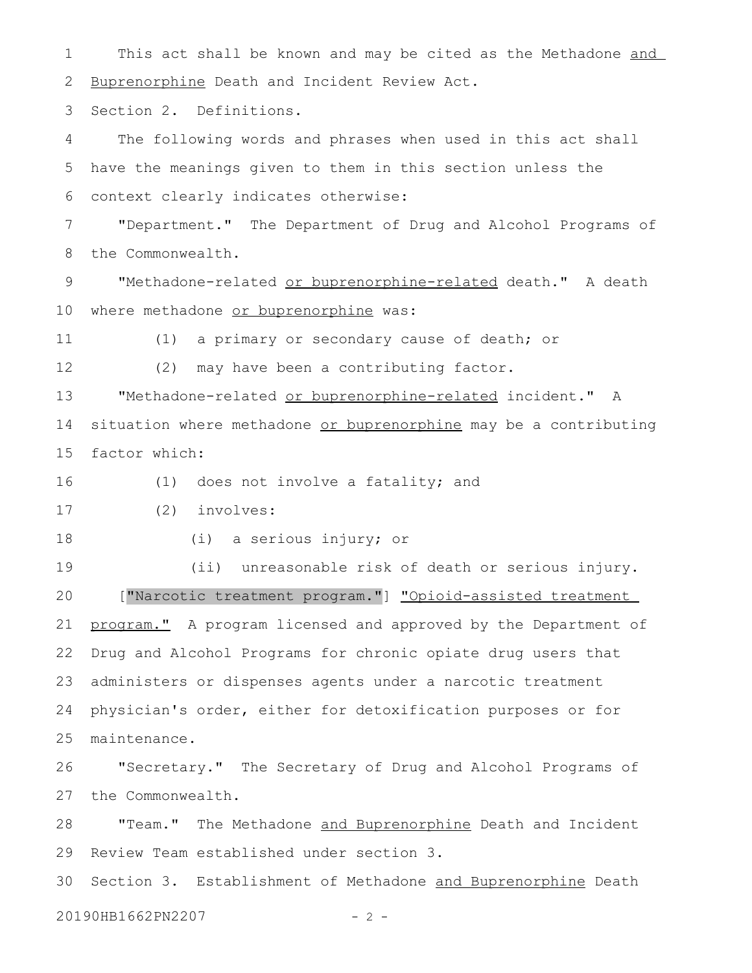This act shall be known and may be cited as the Methadone and Buprenorphine Death and Incident Review Act. 1 2

Section 2. Definitions. 3

The following words and phrases when used in this act shall have the meanings given to them in this section unless the context clearly indicates otherwise: 4 5 6

"Department." The Department of Drug and Alcohol Programs of the Commonwealth. 7 8

"Methadone-related or buprenorphine-related death." A death where methadone or buprenorphine was: 9 10

11

(1) a primary or secondary cause of death; or

12

(2) may have been a contributing factor.

"Methadone-related or buprenorphine-related incident." A situation where methadone or buprenorphine may be a contributing factor which: 13 14 15

(1) does not involve a fatality; and 16

(2) involves: 17

18

(i) a serious injury; or

(ii) unreasonable risk of death or serious injury. ["Narcotic treatment program."] "Opioid-assisted treatment program." A program licensed and approved by the Department of Drug and Alcohol Programs for chronic opiate drug users that administers or dispenses agents under a narcotic treatment physician's order, either for detoxification purposes or for maintenance. 19 20 21 22 23 24 25

"Secretary." The Secretary of Drug and Alcohol Programs of the Commonwealth. 26 27

"Team." The Methadone and Buprenorphine Death and Incident Review Team established under section 3. 28 29

Section 3. Establishment of Methadone and Buprenorphine Death 20190HB1662PN2207 - 2 -30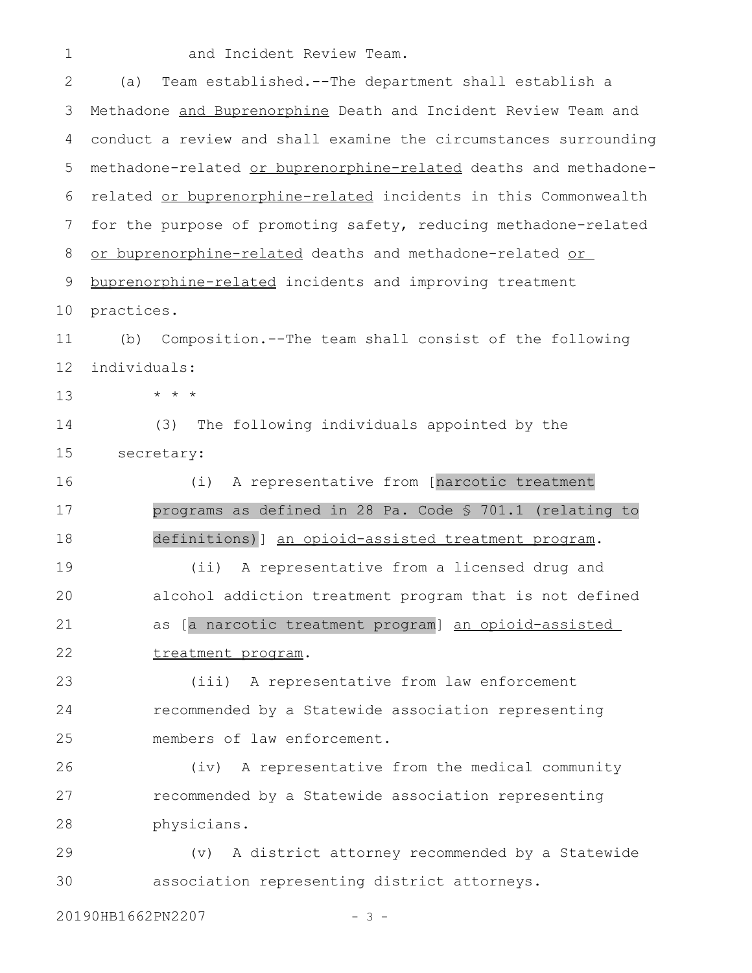1

and Incident Review Team.

(a) Team established.--The department shall establish a Methadone and Buprenorphine Death and Incident Review Team and conduct a review and shall examine the circumstances surrounding methadone-related or buprenorphine-related deaths and methadonerelated or buprenorphine-related incidents in this Commonwealth for the purpose of promoting safety, reducing methadone-related or buprenorphine-related deaths and methadone-related or buprenorphine-related incidents and improving treatment practices. (b) Composition.--The team shall consist of the following individuals: \* \* \* (3) The following individuals appointed by the secretary: (i) A representative from [narcotic treatment programs as defined in 28 Pa. Code § 701.1 (relating to definitions)] an opioid-assisted treatment program. (ii) A representative from a licensed drug and alcohol addiction treatment program that is not defined as [a narcotic treatment program] an opioid-assisted treatment program. (iii) A representative from law enforcement recommended by a Statewide association representing members of law enforcement. (iv) A representative from the medical community recommended by a Statewide association representing physicians. (v) A district attorney recommended by a Statewide association representing district attorneys. 2 3 4 5 6 7 8 9 10 11 12 13 14 15 16 17 18 19 20 21 22 23 24 25 26 27 28 29 30

20190HB1662PN2207 - 3 -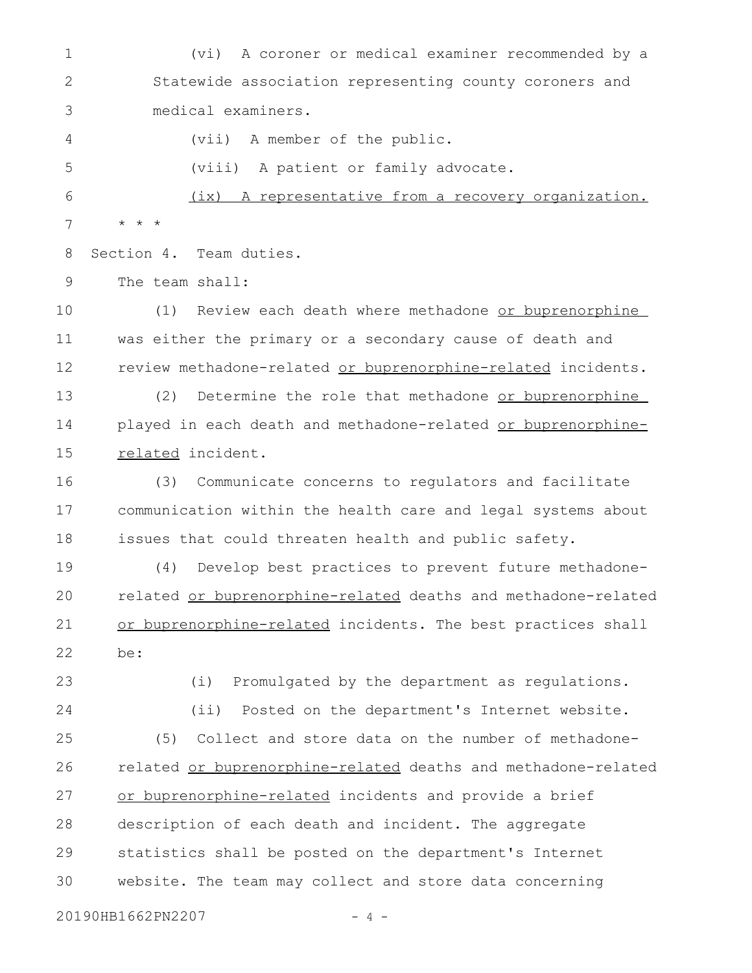(vi) A coroner or medical examiner recommended by a Statewide association representing county coroners and medical examiners. (vii) A member of the public. (viii) A patient or family advocate. (ix) A representative from a recovery organization. 1 2 3 4 5 6

Section 4. Team duties. 8

\* \* \*

7

The team shall: 9

(1) Review each death where methadone or buprenorphine was either the primary or a secondary cause of death and review methadone-related or buprenorphine-related incidents. 10 11 12

(2) Determine the role that methadone or buprenorphine played in each death and methadone-related or buprenorphinerelated incident. 13 14 15

(3) Communicate concerns to regulators and facilitate communication within the health care and legal systems about issues that could threaten health and public safety. 16 17 18

(4) Develop best practices to prevent future methadonerelated or buprenorphine-related deaths and methadone-related or buprenorphine-related incidents. The best practices shall be: 19 20 21 22

23

24

(i) Promulgated by the department as regulations. (ii) Posted on the department's Internet website.

(5) Collect and store data on the number of methadonerelated or buprenorphine-related deaths and methadone-related or buprenorphine-related incidents and provide a brief description of each death and incident. The aggregate statistics shall be posted on the department's Internet website. The team may collect and store data concerning 25 26 27 28 29 30

20190HB1662PN2207 - 4 -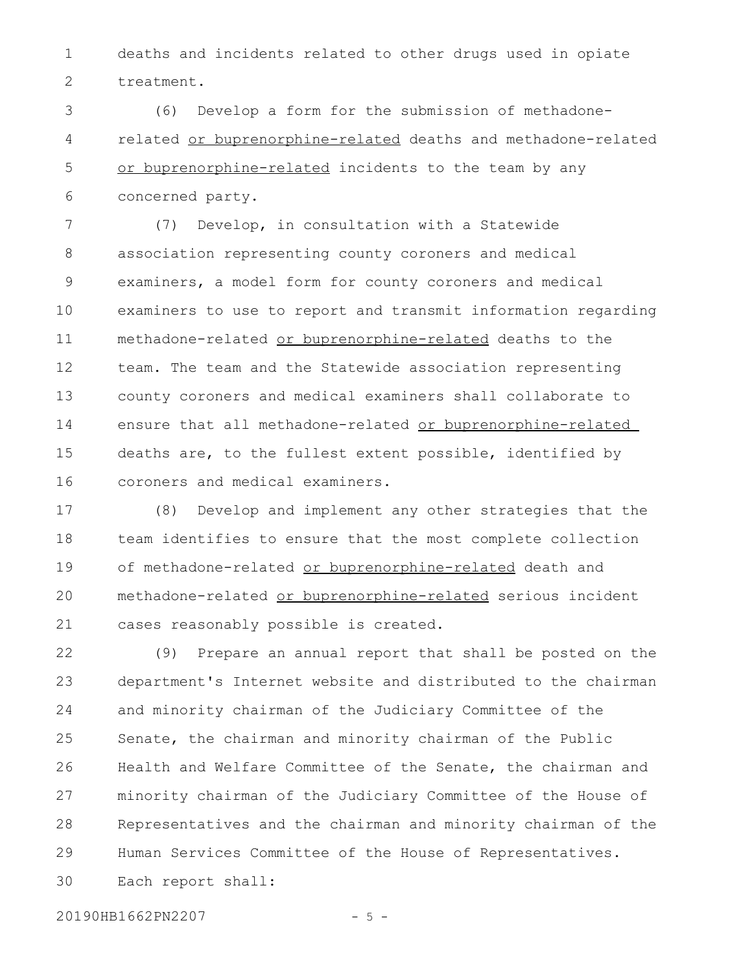deaths and incidents related to other drugs used in opiate treatment. 1 2

(6) Develop a form for the submission of methadonerelated or buprenorphine-related deaths and methadone-related or buprenorphine-related incidents to the team by any concerned party. 3 4 5 6

(7) Develop, in consultation with a Statewide association representing county coroners and medical examiners, a model form for county coroners and medical examiners to use to report and transmit information regarding methadone-related or buprenorphine-related deaths to the team. The team and the Statewide association representing county coroners and medical examiners shall collaborate to ensure that all methadone-related or buprenorphine-related deaths are, to the fullest extent possible, identified by coroners and medical examiners. 7 8 9 10 11 12 13 14 15 16

(8) Develop and implement any other strategies that the team identifies to ensure that the most complete collection of methadone-related or buprenorphine-related death and methadone-related or buprenorphine-related serious incident cases reasonably possible is created. 17 18 19 20 21

(9) Prepare an annual report that shall be posted on the department's Internet website and distributed to the chairman and minority chairman of the Judiciary Committee of the Senate, the chairman and minority chairman of the Public Health and Welfare Committee of the Senate, the chairman and minority chairman of the Judiciary Committee of the House of Representatives and the chairman and minority chairman of the Human Services Committee of the House of Representatives. Each report shall: 22 23 24 25 26 27 28 29 30

20190HB1662PN2207 - 5 -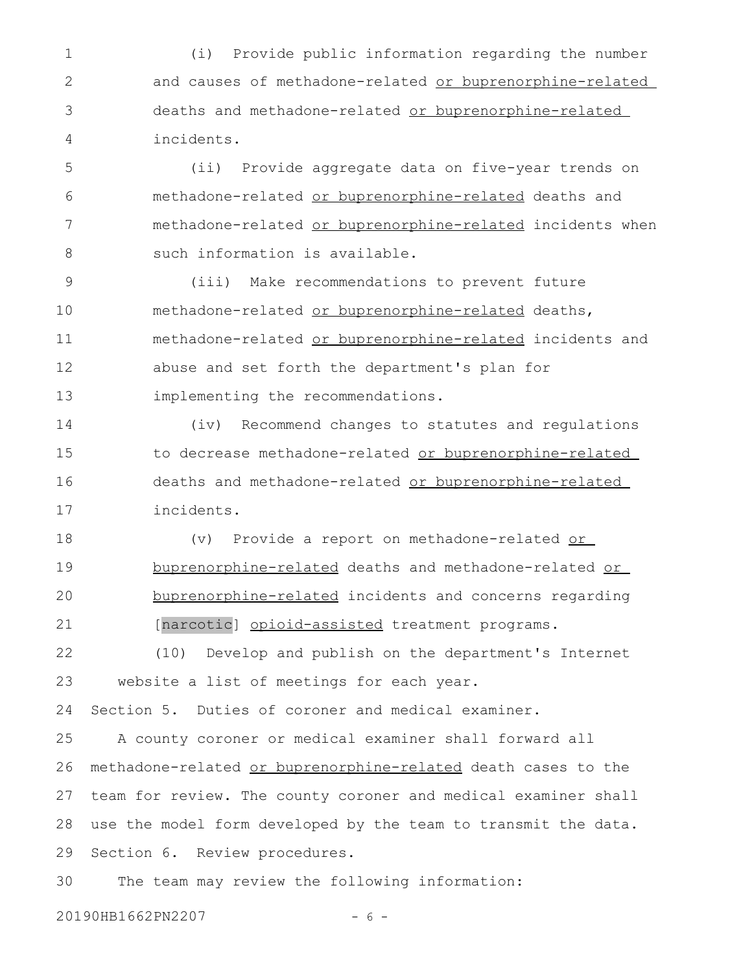(i) Provide public information regarding the number and causes of methadone-related or buprenorphine-related deaths and methadone-related or buprenorphine-related incidents. 1 2 3 4

(ii) Provide aggregate data on five-year trends on methadone-related or buprenorphine-related deaths and methadone-related or buprenorphine-related incidents when such information is available. 5 6 7 8

(iii) Make recommendations to prevent future methadone-related or buprenorphine-related deaths, methadone-related or buprenorphine-related incidents and abuse and set forth the department's plan for implementing the recommendations. 9 10 11 12 13

(iv) Recommend changes to statutes and regulations to decrease methadone-related or buprenorphine-related deaths and methadone-related or buprenorphine-related incidents. 14 15 16 17

(v) Provide a report on methadone-related or buprenorphine-related deaths and methadone-related or buprenorphine-related incidents and concerns regarding [narcotic] opioid-assisted treatment programs. 18 19 20 21

(10) Develop and publish on the department's Internet website a list of meetings for each year. 22 23

Section 5. Duties of coroner and medical examiner. 24

A county coroner or medical examiner shall forward all methadone-related or buprenorphine-related death cases to the team for review. The county coroner and medical examiner shall use the model form developed by the team to transmit the data. Section 6. Review procedures. 25 26 27 28 29

The team may review the following information: 30

20190HB1662PN2207 - 6 -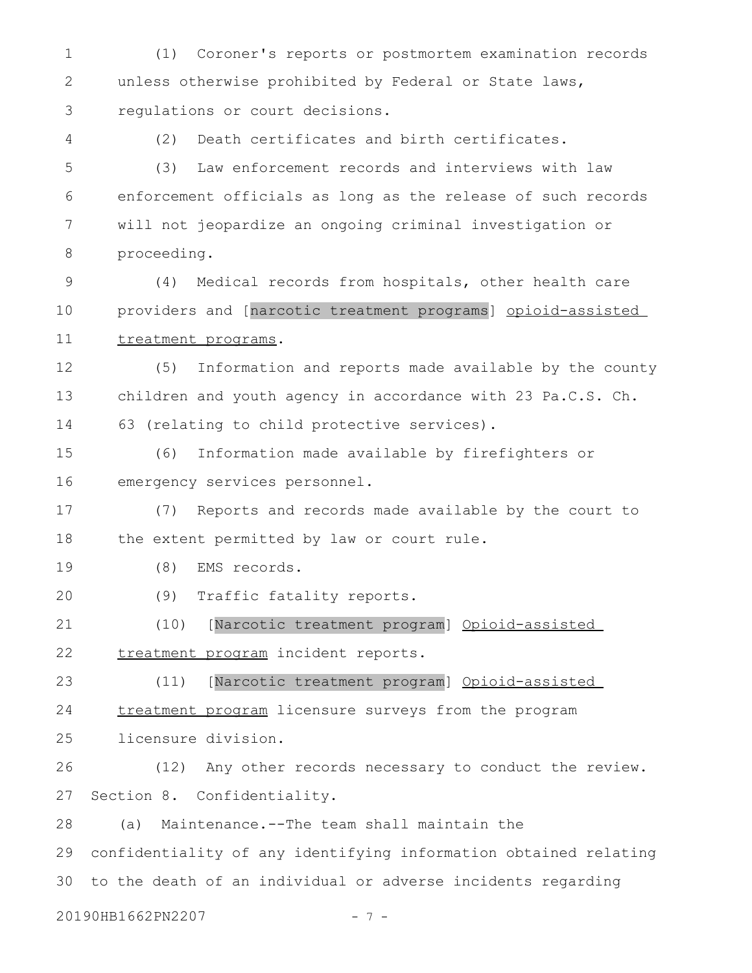(1) Coroner's reports or postmortem examination records unless otherwise prohibited by Federal or State laws, regulations or court decisions. 1 2 3

4

(2) Death certificates and birth certificates.

(3) Law enforcement records and interviews with law enforcement officials as long as the release of such records will not jeopardize an ongoing criminal investigation or proceeding. 5 6 7 8

(4) Medical records from hospitals, other health care providers and [narcotic treatment programs] opioid-assisted treatment programs. 9 10 11

(5) Information and reports made available by the county children and youth agency in accordance with 23 Pa.C.S. Ch. 63 (relating to child protective services). 12 13 14

(6) Information made available by firefighters or emergency services personnel. 15 16

(7) Reports and records made available by the court to the extent permitted by law or court rule. 17 18

(8) EMS records. 19

(9) Traffic fatality reports. 20

(10) [Narcotic treatment program] Opioid-assisted treatment program incident reports. 21 22

(11) [Narcotic treatment program] Opioid-assisted treatment program licensure surveys from the program 23 24

licensure division. 25

(12) Any other records necessary to conduct the review. Section 8. Confidentiality. 26 27

(a) Maintenance.--The team shall maintain the confidentiality of any identifying information obtained relating to the death of an individual or adverse incidents regarding 28 29 30

20190HB1662PN2207 - 7 -